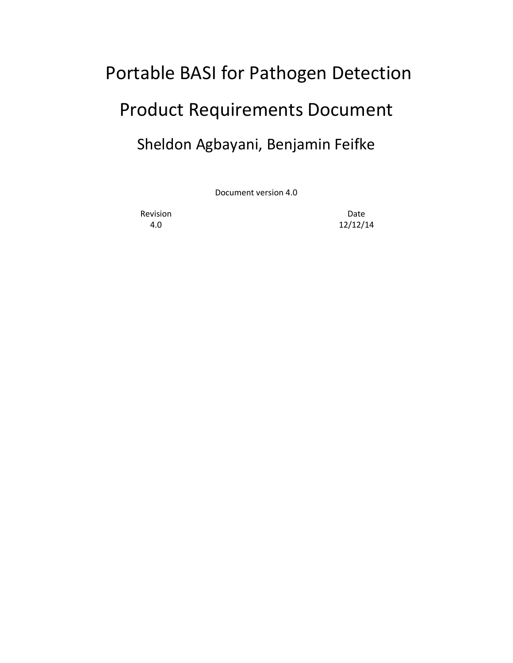# Portable BASI for Pathogen Detection Product Requirements Document Sheldon Agbayani, Benjamin Feifke

Document version 4.0

Revision **Date** 

4.0 12/12/14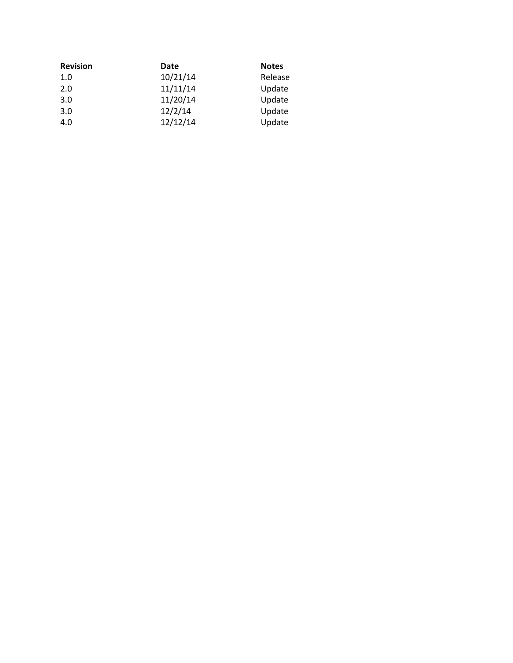| <b>Revision</b> | Date     | <b>Notes</b> |
|-----------------|----------|--------------|
| 1.0             | 10/21/14 | Release      |
| 2.0             | 11/11/14 | Update       |
| 3.0             | 11/20/14 | Update       |
| 3.0             | 12/2/14  | Update       |
| 4.0             | 12/12/14 | Update       |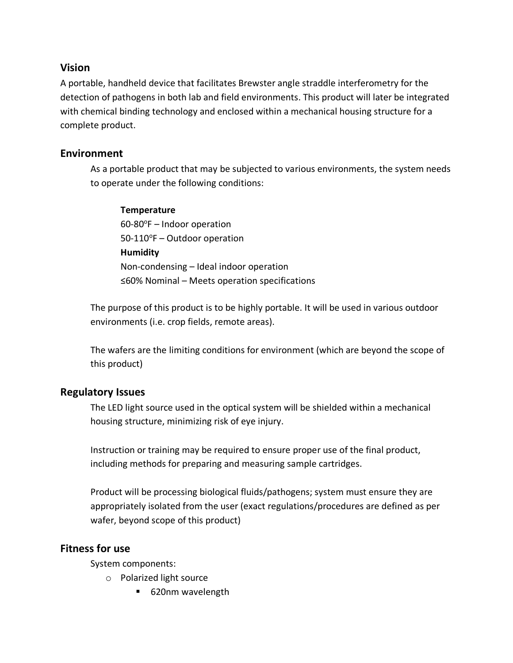## **Vision**

A portable, handheld device that facilitates Brewster angle straddle interferometry for the detection of pathogens in both lab and field environments. This product will later be integrated with chemical binding technology and enclosed within a mechanical housing structure for a complete product.

# **Environment**

As a portable product that may be subjected to various environments, the system needs to operate under the following conditions:

#### **Temperature**

 $60-80$ <sup>o</sup>F – Indoor operation  $50-110^{\circ}F -$ Outdoor operation **Humidity** Non-condensing – Ideal indoor operation ≤60% Nominal – Meets operation specifications

The purpose of this product is to be highly portable. It will be used in various outdoor environments (i.e. crop fields, remote areas).

The wafers are the limiting conditions for environment (which are beyond the scope of this product)

# **Regulatory Issues**

The LED light source used in the optical system will be shielded within a mechanical housing structure, minimizing risk of eye injury.

Instruction or training may be required to ensure proper use of the final product, including methods for preparing and measuring sample cartridges.

Product will be processing biological fluids/pathogens; system must ensure they are appropriately isolated from the user (exact regulations/procedures are defined as per wafer, beyond scope of this product)

# **Fitness for use**

System components:

- o Polarized light source
	- 620nm wavelength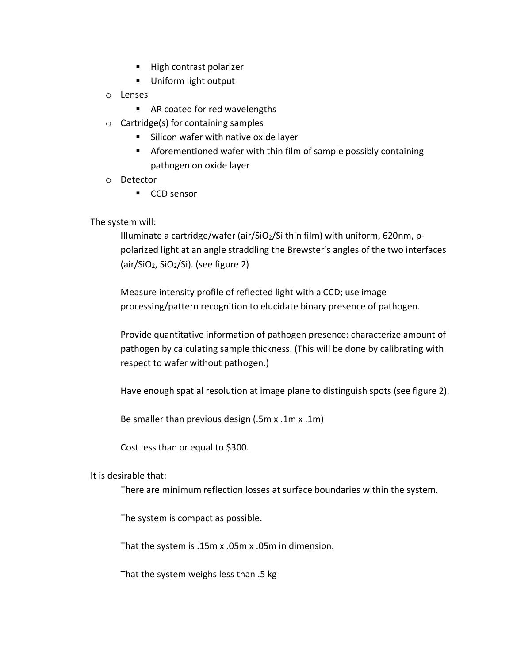- High contrast polarizer
- Uniform light output
- o Lenses
	- AR coated for red wavelengths
- $\circ$  Cartridge(s) for containing samples
	- Silicon wafer with native oxide layer
	- Aforementioned wafer with thin film of sample possibly containing pathogen on oxide layer
- o Detector
	- CCD sensor

The system will:

Illuminate a cartridge/wafer (air/ $SiO<sub>2</sub>/Si$  thin film) with uniform, 620nm, ppolarized light at an angle straddling the Brewster's angles of the two interfaces (air/SiO2, SiO2/Si). (see figure 2)

Measure intensity profile of reflected light with a CCD; use image processing/pattern recognition to elucidate binary presence of pathogen.

Provide quantitative information of pathogen presence: characterize amount of pathogen by calculating sample thickness. (This will be done by calibrating with respect to wafer without pathogen.)

Have enough spatial resolution at image plane to distinguish spots (see figure 2).

Be smaller than previous design (.5m x .1m x .1m)

Cost less than or equal to \$300.

It is desirable that:

There are minimum reflection losses at surface boundaries within the system.

The system is compact as possible.

That the system is .15m x .05m x .05m in dimension.

That the system weighs less than .5 kg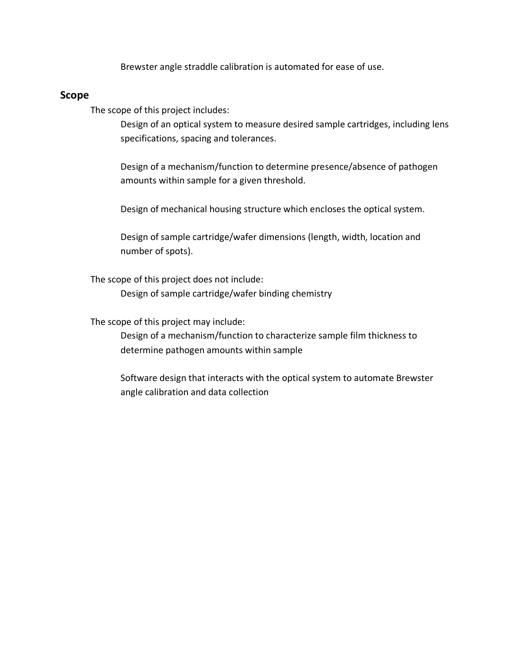Brewster angle straddle calibration is automated for ease of use.

#### **Scope**

The scope of this project includes:

Design of an optical system to measure desired sample cartridges, including lens specifications, spacing and tolerances.

Design of a mechanism/function to determine presence/absence of pathogen amounts within sample for a given threshold.

Design of mechanical housing structure which encloses the optical system.

Design of sample cartridge/wafer dimensions (length, width, location and number of spots).

The scope of this project does not include:

Design of sample cartridge/wafer binding chemistry

The scope of this project may include:

Design of a mechanism/function to characterize sample film thickness to determine pathogen amounts within sample

Software design that interacts with the optical system to automate Brewster angle calibration and data collection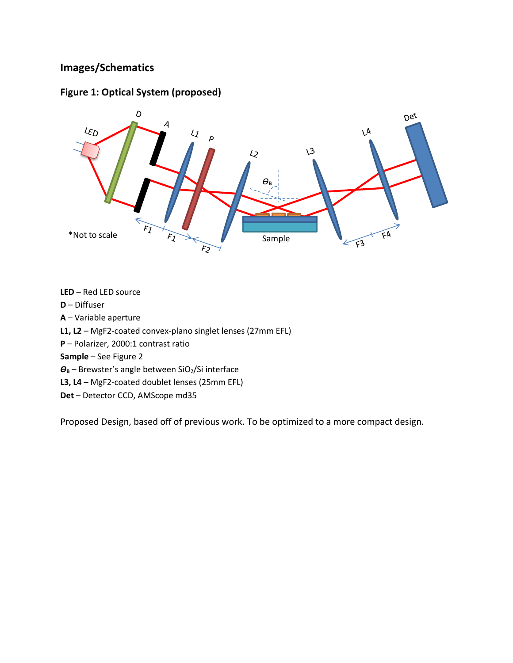# **Images/Schematics**

## **Figure 1: Optical System (proposed)**



**LED** – Red LED source **D** – Diffuser **A** – Variable aperture **L1, L2** – MgF2-coated convex-plano singlet lenses (27mm EFL) **P** – Polarizer, 2000:1 contrast ratio **Sample** – See Figure 2 *Ѳ***<sup>B</sup>** – Brewster's angle between SiO2/Si interface **L3, L4** – MgF2-coated doublet lenses (25mm EFL) **Det** – Detector CCD, AMScope md35

Proposed Design, based off of previous work. To be optimized to a more compact design.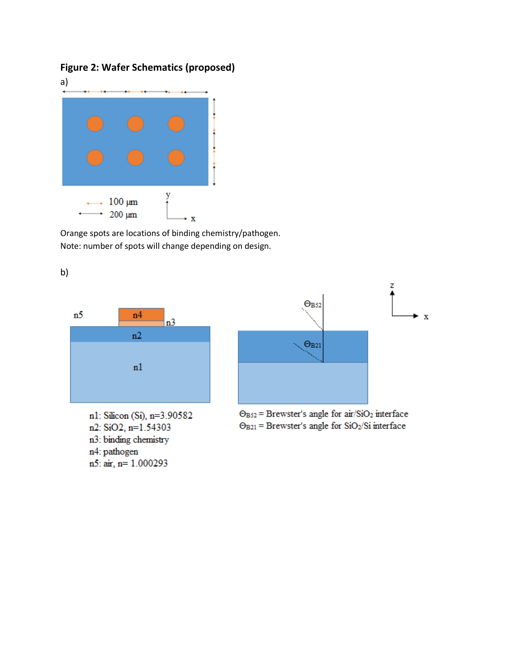# **Figure 2: Wafer Schematics (proposed)**



Orange spots are locations of binding chemistry/pathogen. Note: number of spots will change depending on design.



n2: SiO2, n=1.54303 n3: binding chemistry n4: pathogen n5: air, n= 1.000293